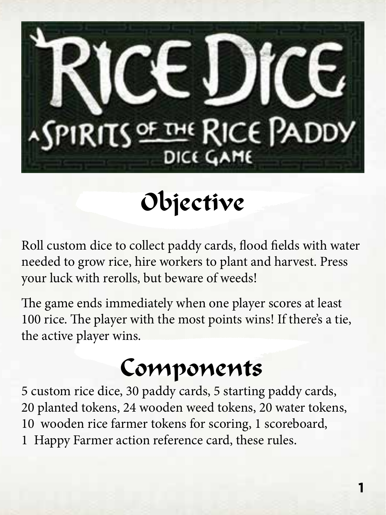

# Objective

Roll custom dice to collect paddy cards, flood fields with water needed to grow rice, hire workers to plant and harvest. Press your luck with rerolls, but beware of weeds!

The game ends immediately when one player scores at least 100 rice. The player with the most points wins! If there's a tie, the active player wins.

# Components

5 custom rice dice, 30 paddy cards, 5 starting paddy cards, 20 planted tokens, 24 wooden weed tokens, 20 water tokens, 10 wooden rice farmer tokens for scoring, 1 scoreboard, 1 Happy Farmer action reference card, these rules.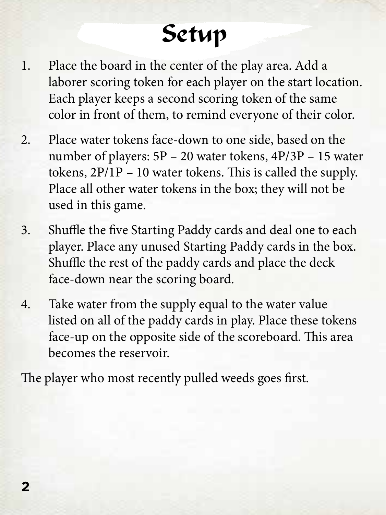# Setup

- 1. Place the board in the center of the play area. Add a laborer scoring token for each player on the start location. Each player keeps a second scoring token of the same color in front of them, to remind everyone of their color.
- 2. Place water tokens face-down to one side, based on the number of players: 5P – 20 water tokens, 4P/3P – 15 water tokens, 2P/1P – 10 water tokens. This is called the supply. Place all other water tokens in the box; they will not be used in this game.
- 3. Shuffle the five Starting Paddy cards and deal one to each player. Place any unused Starting Paddy cards in the box. Shuffle the rest of the paddy cards and place the deck face-down near the scoring board.
- 4. Take water from the supply equal to the water value listed on all of the paddy cards in play. Place these tokens face-up on the opposite side of the scoreboard. This area becomes the reservoir.

The player who most recently pulled weeds goes first.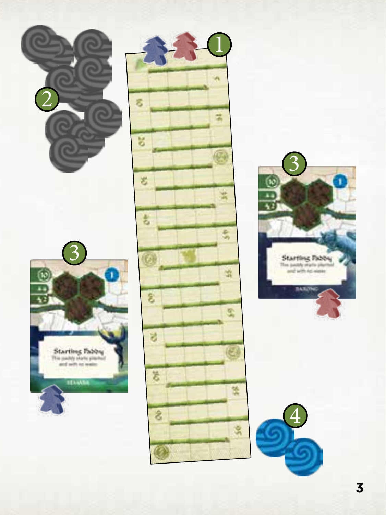







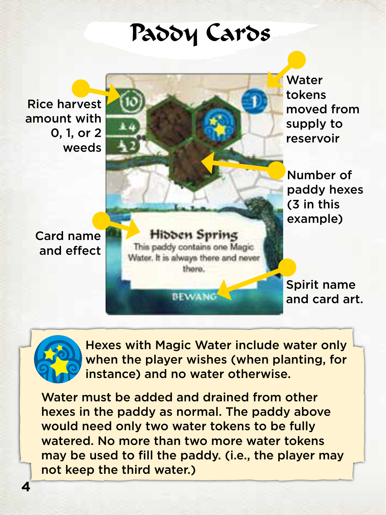### Paddy Cards

Rice harvest amount with 0, 1, or 2 weeds

**Water** tokens moved from supply to reservoir

Number of paddy hexes (3 in this example)

Card name and effect

Hidden Spring This paddy contains one Magic Water, It is always there and never those.

**BEWANC** 

Spirit name and card art.



**4**

Hexes with Magic Water include water only when the player wishes (when planting, for instance) and no water otherwise.

Water must be added and drained from other hexes in the paddy as normal. The paddy above would need only two water tokens to be fully watered. No more than two more water tokens may be used to fill the paddy. (i.e., the player may not keep the third water.)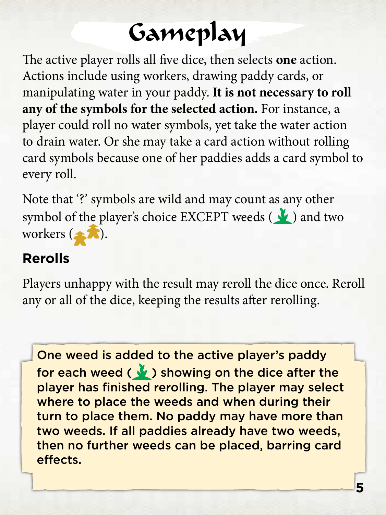# Gameplay

The active player rolls all five dice, then selects **one** action. Actions include using workers, drawing paddy cards, or manipulating water in your paddy. **It is not necessary to roll any of the symbols for the selected action.** For instance, a player could roll no water symbols, yet take the water action to drain water. Or she may take a card action without rolling card symbols because one of her paddies adds a card symbol to every roll.

Note that '?' symbols are wild and may count as any other symbol of the player's choice EXCEPT weeds  $(\bigvee)$  and two workers  $($ .

### **Rerolls**

Players unhappy with the result may reroll the dice once. Reroll any or all of the dice, keeping the results after rerolling.

One weed is added to the active player's paddy for each weed ( $\blacklozenge$ ) showing on the dice after the player has finished rerolling. The player may select where to place the weeds and when during their turn to place them. No paddy may have more than two weeds. If all paddies already have two weeds, then no further weeds can be placed, barring card effects.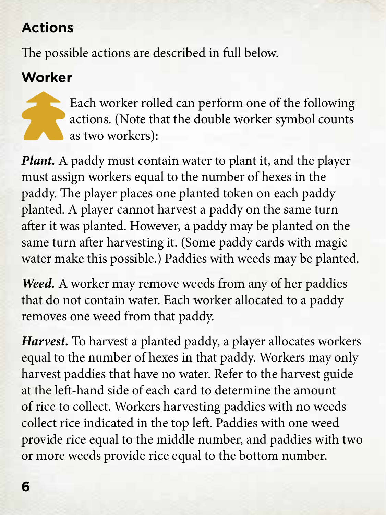### **Actions**

The possible actions are described in full below.

### **Worker**



Each worker rolled can perform one of the following actions. (Note that the double worker symbol counts as two workers):

*Plant.* A paddy must contain water to plant it, and the player must assign workers equal to the number of hexes in the paddy. The player places one planted token on each paddy planted. A player cannot harvest a paddy on the same turn after it was planted. However, a paddy may be planted on the same turn after harvesting it. (Some paddy cards with magic water make this possible.) Paddies with weeds may be planted.

*Weed.* A worker may remove weeds from any of her paddies that do not contain water. Each worker allocated to a paddy removes one weed from that paddy.

*Harvest.* To harvest a planted paddy, a player allocates workers equal to the number of hexes in that paddy. Workers may only harvest paddies that have no water. Refer to the harvest guide at the left-hand side of each card to determine the amount of rice to collect. Workers harvesting paddies with no weeds collect rice indicated in the top left. Paddies with one weed provide rice equal to the middle number, and paddies with two or more weeds provide rice equal to the bottom number.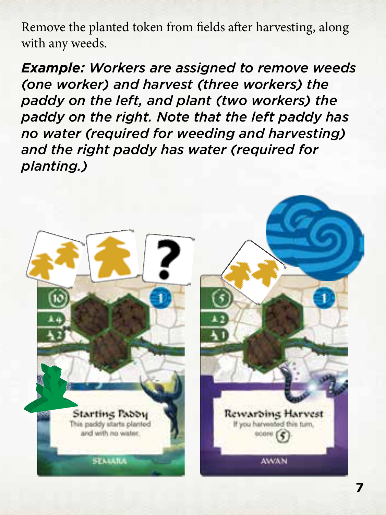Remove the planted token from fields after harvesting, along with any weeds.

*Example: Workers are assigned to remove weeds (one worker) and harvest (three workers) the paddy on the left, and plant (two workers) the paddy on the right. Note that the left paddy has no water (required for weeding and harvesting) and the right paddy has water (required for planting.)*

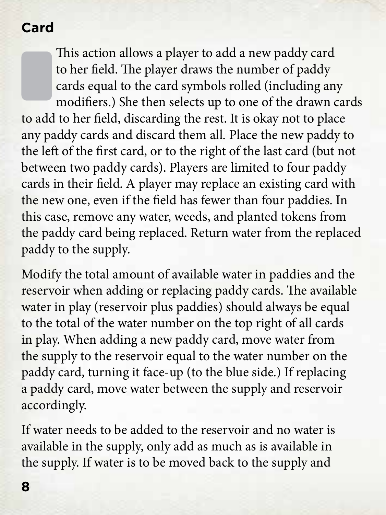### **Card**

This action allows a player to add a new paddy card to her field. The player draws the number of paddy cards equal to the card symbols rolled (including any modifiers.) She then selects up to one of the drawn cards

to add to her field, discarding the rest. It is okay not to place any paddy cards and discard them all. Place the new paddy to the left of the first card, or to the right of the last card (but not between two paddy cards). Players are limited to four paddy cards in their field. A player may replace an existing card with the new one, even if the field has fewer than four paddies. In this case, remove any water, weeds, and planted tokens from the paddy card being replaced. Return water from the replaced paddy to the supply.

Modify the total amount of available water in paddies and the reservoir when adding or replacing paddy cards. The available water in play (reservoir plus paddies) should always be equal to the total of the water number on the top right of all cards in play. When adding a new paddy card, move water from the supply to the reservoir equal to the water number on the paddy card, turning it face-up (to the blue side.) If replacing a paddy card, move water between the supply and reservoir accordingly.

If water needs to be added to the reservoir and no water is available in the supply, only add as much as is available in the supply. If water is to be moved back to the supply and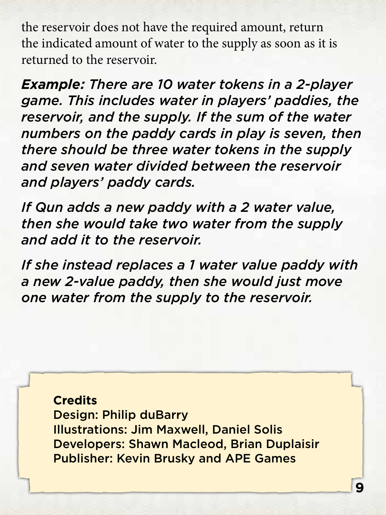the reservoir does not have the required amount, return the indicated amount of water to the supply as soon as it is returned to the reservoir.

*Example: There are 10 water tokens in a 2-player game. This includes water in players' paddies, the reservoir, and the supply. If the sum of the water numbers on the paddy cards in play is seven, then there should be three water tokens in the supply and seven water divided between the reservoir and players' paddy cards.*

*If Qun adds a new paddy with a 2 water value, then she would take two water from the supply and add it to the reservoir.*

*If she instead replaces a 1 water value paddy with a new 2-value paddy, then she would just move one water from the supply to the reservoir.* 

**Credits**

Design: Philip duBarry Illustrations: Jim Maxwell, Daniel Solis Developers: Shawn Macleod, Brian Duplaisir Publisher: Kevin Brusky and APE Games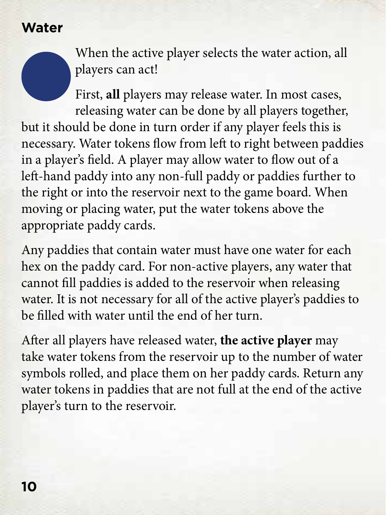#### **Water**

When the active player selects the water action, all players can act!

First, **all** players may release water. In most cases, releasing water can be done by all players together, but it should be done in turn order if any player feels this is necessary. Water tokens flow from left to right between paddies in a player's field. A player may allow water to flow out of a left-hand paddy into any non-full paddy or paddies further to the right or into the reservoir next to the game board. When moving or placing water, put the water tokens above the appropriate paddy cards.

Any paddies that contain water must have one water for each hex on the paddy card. For non-active players, any water that cannot fill paddies is added to the reservoir when releasing water. It is not necessary for all of the active player's paddies to be filled with water until the end of her turn.

After all players have released water, **the active player** may take water tokens from the reservoir up to the number of water symbols rolled, and place them on her paddy cards. Return any water tokens in paddies that are not full at the end of the active player's turn to the reservoir.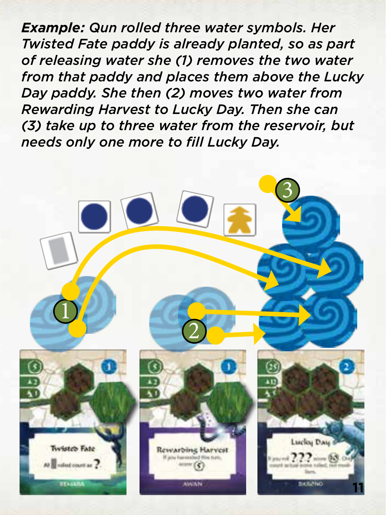*Example: Qun rolled three water symbols. Her Twisted Fate paddy is already planted, so as part of releasing water she (1) removes the two water from that paddy and places them above the Lucky Day paddy. She then (2) moves two water from Rewarding Harvest to Lucky Day. Then she can (3) take up to three water from the reservoir, but needs only one more to fill Lucky Day.*